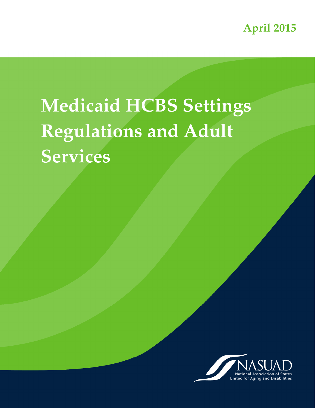**April 2015**

# **Medicaid HCBS Settings Regulations and Adult Services**

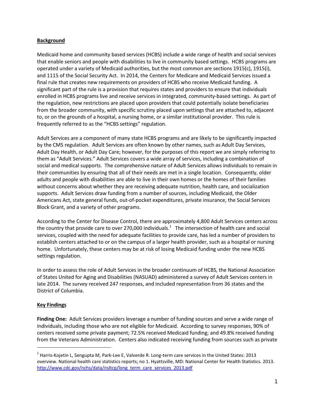## Background

Medicaid home and community based services (HCBS) include a wide range of health and social services that enable seniors and people with disabilities to live in community based settings. HCBS programs are operated under a variety of Medicaid authorities, but the most common are sections 1915(c), 1915(i), and 1115 of the Social Security Act. In 2014, the Centers for Medicare and Medicaid Services issued a final rule that creates new requirements on providers of HCBS who receive Medicaid funding. A significant part of the rule is a provision that requires states and providers to ensure that individuals enrolled in HCBS programs live and receive services in integrated, community-based settings. As part of the regulation, new restrictions are placed upon providers that could potentially isolate beneficiaries from the broader community, with specific scrutiny placed upon settings that are attached to, adjacent to, or on the grounds of a hospital, a nursing home, or a similar institutional provider. This rule is frequently referred to as the "HCBS settings" regulation.

Adult Services are a component of many state HCBS programs and are likely to be significantly impacted by the CMS regulation. Adult Services are often known by other names, such as Adult Day Services, Adult Day Health, or Adult Day Care; however, for the purposes of this report we are simply referring to them as "Adult Services." Adult Services covers a wide array of services, including a combination of social and medical supports. The comprehensive nature of Adult Services allows individuals to remain in their communities by ensuring that all of their needs are met in a single location. Consequently, older adults and people with disabilities are able to live in their own homes or the homes of their families without concerns about whether they are receiving adequate nutrition, health care, and socialization supports. Adult Services draw funding from a number of sources, including Medicaid, the Older Americans Act, state general funds, out-of-pocket expenditures, private insurance, the Social Services Block Grant, and a variety of other programs.

According to the Center for Disease Control, there are approximately 4,800 Adult Services centers across the country that provide care to over 270,000 individuals.<sup>1</sup> The intersection of health care and social services, coupled with the need for adequate facilities to provide care, has led a number of providers to establish centers attached to or on the campus of a larger health provider, such as a hospital or nursing home. Unfortunately, these centers may be at risk of losing Medicaid funding under the new HCBS settings regulation.

In order to assess the role of Adult Services in the broader continuum of HCBS, the National Association of States United for Aging and Disabilities (NASUAD) administered a survey of Adult Services centers in late 2014. The survey received 247 responses, and included representation from 36 states and the District of Columbia.

# Key Findings

-

Finding One: Adult Services providers leverage a number of funding sources and serve a wide range of individuals, including those who are not eligible for Medicaid. According to survey responses, 90% of centers received some private payment; 72.5% received Medicaid funding; and 49.8% received funding from the Veterans Administration. Centers also indicated receiving funding from sources such as private

<sup>&</sup>lt;sup>1</sup> Harris-Kojetin L, Sengupta M, Park-Lee E, Valverde R. Long-term care services in the United States: 2013 overview. National health care statistics reports; no 1. Hyattsville, MD: National Center for Health Statistics. 2013. http://www.cdc.gov/nchs/data/nsltcp/long\_term\_care\_services\_2013.pdf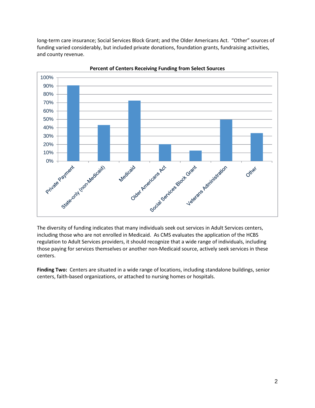long-term care insurance; Social Services Block Grant; and the Older Americans Act. "Other" sources of funding varied considerably, but included private donations, foundation grants, fundraising activities, and county revenue.



Percent of Centers Receiving Funding from Select Sources

The diversity of funding indicates that many individuals seek out services in Adult Services centers, including those who are not enrolled in Medicaid. As CMS evaluates the application of the HCBS regulation to Adult Services providers, it should recognize that a wide range of individuals, including those paying for services themselves or another non-Medicaid source, actively seek services in these centers.

Finding Two: Centers are situated in a wide range of locations, including standalone buildings, senior centers, faith-based organizations, or attached to nursing homes or hospitals.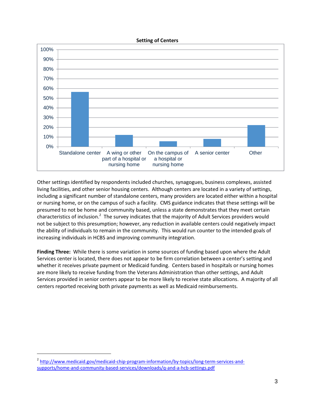#### Setting of Centers



Other settings identified by respondents included churches, synagogues, business complexes, assisted living facilities, and other senior housing centers. Although centers are located in a variety of settings, including a significant number of standalone centers, many providers are located either within a hospital or nursing home, or on the campus of such a facility. CMS guidance indicates that these settings will be presumed to not be home and community based, unless a state demonstrates that they meet certain .<br>characteristics of inclusion.<sup>2</sup> The survey indicates that the majority of Adult Services providers would not be subject to this presumption; however, any reduction in available centers could negatively impact the ability of individuals to remain in the community. This would run counter to the intended goals of increasing individuals in HCBS and improving community integration.

Finding Three: While there is some variation in some sources of funding based upon where the Adult Services center is located, there does not appear to be firm correlation between a center's setting and whether it receives private payment or Medicaid funding. Centers based in hospitals or nursing homes are more likely to receive funding from the Veterans Administration than other settings, and Adult Services provided in senior centers appear to be more likely to receive state allocations. A majority of all centers reported receiving both private payments as well as Medicaid reimbursements.

-

<sup>&</sup>lt;sup>2</sup> http://www.medicaid.gov/medicaid-chip-program-information/by-topics/long-term-services-andsupports/home-and-community-based-services/downloads/q-and-a-hcb-settings.pdf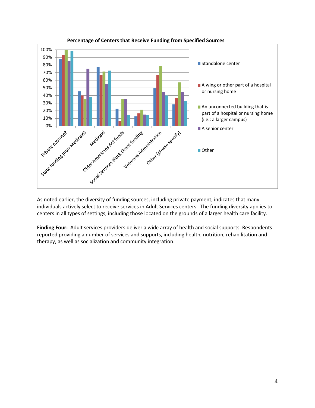

Percentage of Centers that Receive Funding from Specified Sources

As noted earlier, the diversity of funding sources, including private payment, indicates that many individuals actively select to receive services in Adult Services centers. The funding diversity applies to centers in all types of settings, including those located on the grounds of a larger health care facility.

Finding Four: Adult services providers deliver a wide array of health and social supports. Respondents reported providing a number of services and supports, including health, nutrition, rehabilitation and therapy, as well as socialization and community integration.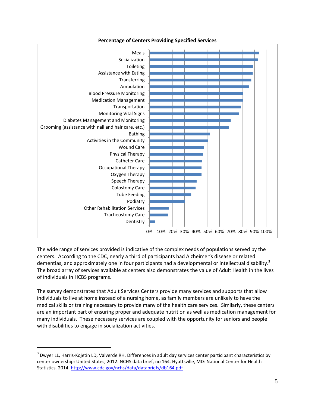

## Percentage of Centers Providing Specified Services

The wide range of services provided is indicative of the complex needs of populations served by the centers. According to the CDC, nearly a third of participants had Alzheimer's disease or related dementias, and approximately one in four participants had a developmental or intellectual disability.<sup>3</sup> The broad array of services available at centers also demonstrates the value of Adult Health in the lives of individuals in HCBS programs.

The survey demonstrates that Adult Services Centers provide many services and supports that allow individuals to live at home instead of a nursing home, as family members are unlikely to have the medical skills or training necessary to provide many of the health care services. Similarly, these centers are an important part of ensuring proper and adequate nutrition as well as medication management for many individuals. These necessary services are coupled with the opportunity for seniors and people with disabilities to engage in socialization activities.

-

 $3$  Dwyer LL, Harris-Kojetin LD, Valverde RH. Differences in adult day services center participant characteristics by center ownership: United States, 2012. NCHS data brief, no 164. Hyattsville, MD: National Center for Health Statistics. 2014. http://www.cdc.gov/nchs/data/databriefs/db164.pdf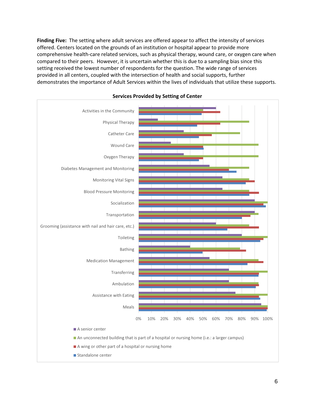Finding Five: The setting where adult services are offered appear to affect the intensity of services offered. Centers located on the grounds of an institution or hospital appear to provide more comprehensive health-care related services, such as physical therapy, wound care, or oxygen care when compared to their peers. However, it is uncertain whether this is due to a sampling bias since this setting received the lowest number of respondents for the question. The wide range of services provided in all centers, coupled with the intersection of health and social supports, further demonstrates the importance of Adult Services within the lives of individuals that utilize these supports.



#### Services Provided by Setting of Center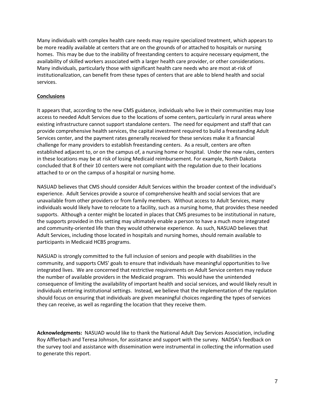Many individuals with complex health care needs may require specialized treatment, which appears to be more readily available at centers that are on the grounds of or attached to hospitals or nursing homes. This may be due to the inability of freestanding centers to acquire necessary equipment, the availability of skilled workers associated with a larger health care provider, or other considerations. Many individuals, particularly those with significant health care needs who are most at-risk of institutionalization, can benefit from these types of centers that are able to blend health and social services.

## **Conclusions**

It appears that, according to the new CMS guidance, individuals who live in their communities may lose access to needed Adult Services due to the locations of some centers, particularly in rural areas where existing infrastructure cannot support standalone centers. The need for equipment and staff that can provide comprehensive health services, the capital investment required to build a freestanding Adult Services center, and the payment rates generally received for these services make it a financial challenge for many providers to establish freestanding centers. As a result, centers are often established adjacent to, or on the campus of, a nursing home or hospital. Under the new rules, centers in these locations may be at risk of losing Medicaid reimbursement. For example, North Dakota concluded that 8 of their 10 centers were not compliant with the regulation due to their locations attached to or on the campus of a hospital or nursing home.

NASUAD believes that CMS should consider Adult Services within the broader context of the individual's experience. Adult Services provide a source of comprehensive health and social services that are unavailable from other providers or from family members. Without access to Adult Services, many individuals would likely have to relocate to a facility, such as a nursing home, that provides these needed supports. Although a center might be located in places that CMS presumes to be institutional in nature, the supports provided in this setting may ultimately enable a person to have a much more integrated and community-oriented life than they would otherwise experience. As such, NASUAD believes that Adult Services, including those located in hospitals and nursing homes, should remain available to participants in Medicaid HCBS programs.

NASUAD is strongly committed to the full inclusion of seniors and people with disabilities in the community, and supports CMS' goals to ensure that individuals have meaningful opportunities to live integrated lives. We are concerned that restrictive requirements on Adult Service centers may reduce the number of available providers in the Medicaid program. This would have the unintended consequence of limiting the availability of important health and social services, and would likely result in individuals entering institutional settings. Instead, we believe that the implementation of the regulation should focus on ensuring that individuals are given meaningful choices regarding the types of services they can receive, as well as regarding the location that they receive them.

Acknowledgments: NASUAD would like to thank the National Adult Day Services Association, including Roy Afflerbach and Teresa Johnson, for assistance and support with the survey. NADSA's feedback on the survey tool and assistance with dissemination were instrumental in collecting the information used to generate this report.